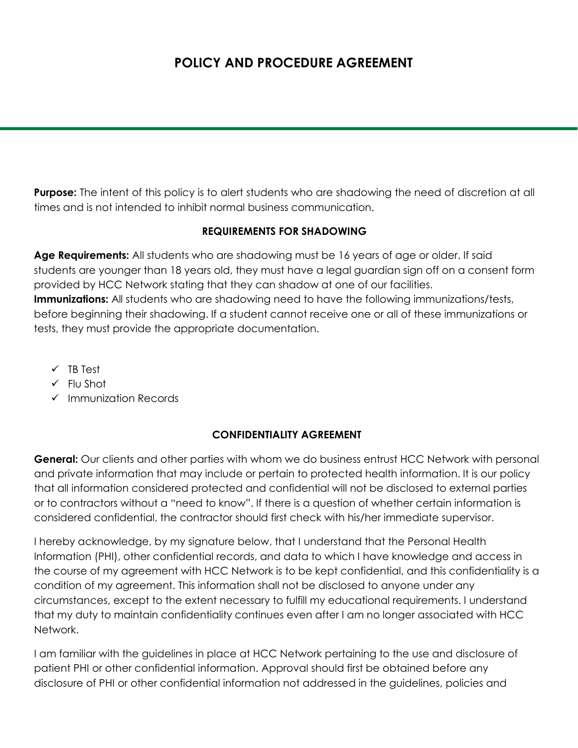# **POLICY AND PROCEDURE AGREEMENT**

**Purpose:** The intent of this policy is to alert students who are shadowing the need of discretion at all times and is not intended to inhibit normal business communication.

#### **REQUIREMENTS FOR SHADOWING**

**Age Requirements:** All students who are shadowing must be 16 years of age or older. If said students are younger than 18 years old, they must have a legal guardian sign off on a consent form provided by HCC Network stating that they can shadow at one of our facilities. **Immunizations:** All students who are shadowing need to have the following immunizations/tests, before beginning their shadowing. If a student cannot receive one or all of these immunizations or tests, they must provide the appropriate documentation.

- $\checkmark$  TB Test
- $\checkmark$  Flu Shot
- $\checkmark$  Immunization Records

#### **CONFIDENTIALITY AGREEMENT**

**General:** Our clients and other parties with whom we do business entrust HCC Network with personal and private information that may include or pertain to protected health information. It is our policy that all information considered protected and confidential will not be disclosed to external parties or to contractors without a "need to know". If there is a question of whether certain information is considered confidential, the contractor should first check with his/her immediate supervisor.

I hereby acknowledge, by my signature below, that I understand that the Personal Health Information (PHI), other confidential records, and data to which I have knowledge and access in the course of my agreement with HCC Network is to be kept confidential, and this confidentiality is a condition of my agreement. This information shall not be disclosed to anyone under any circumstances, except to the extent necessary to fulfill my educational requirements. I understand that my duty to maintain confidentiality continues even after I am no longer associated with HCC Network.

I am familiar with the guidelines in place at HCC Network pertaining to the use and disclosure of patient PHI or other confidential information. Approval should first be obtained before any disclosure of PHI or other confidential information not addressed in the guidelines, policies and